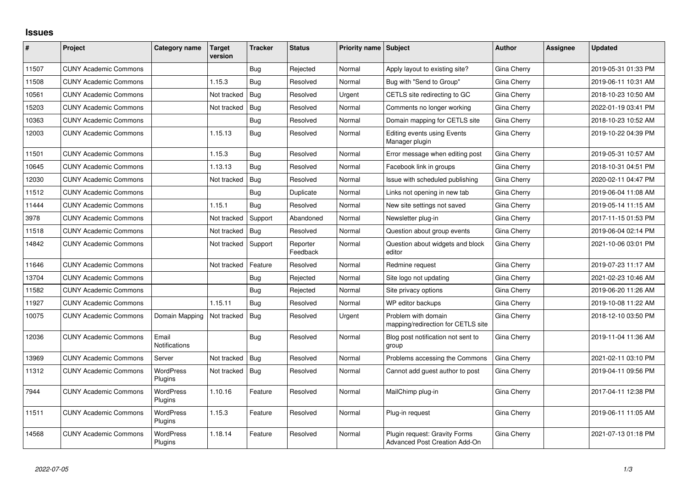## **Issues**

| #     | Project                      | Category name                 | Target<br>version | <b>Tracker</b> | <b>Status</b>        | <b>Priority name Subject</b> |                                                                | <b>Author</b> | Assignee | <b>Updated</b>      |
|-------|------------------------------|-------------------------------|-------------------|----------------|----------------------|------------------------------|----------------------------------------------------------------|---------------|----------|---------------------|
| 11507 | <b>CUNY Academic Commons</b> |                               |                   | Bug            | Rejected             | Normal                       | Apply layout to existing site?                                 | Gina Cherry   |          | 2019-05-31 01:33 PM |
| 11508 | <b>CUNY Academic Commons</b> |                               | 1.15.3            | Bug            | Resolved             | Normal                       | Bug with "Send to Group"                                       | Gina Cherry   |          | 2019-06-11 10:31 AM |
| 10561 | <b>CUNY Academic Commons</b> |                               | Not tracked       | <b>Bug</b>     | Resolved             | Urgent                       | CETLS site redirecting to GC                                   | Gina Cherry   |          | 2018-10-23 10:50 AM |
| 15203 | <b>CUNY Academic Commons</b> |                               | Not tracked       | Bug            | Resolved             | Normal                       | Comments no longer working                                     | Gina Cherry   |          | 2022-01-19 03:41 PM |
| 10363 | <b>CUNY Academic Commons</b> |                               |                   | Bug            | Resolved             | Normal                       | Domain mapping for CETLS site                                  | Gina Cherry   |          | 2018-10-23 10:52 AM |
| 12003 | <b>CUNY Academic Commons</b> |                               | 1.15.13           | Bug            | Resolved             | Normal                       | <b>Editing events using Events</b><br>Manager plugin           | Gina Cherry   |          | 2019-10-22 04:39 PM |
| 11501 | <b>CUNY Academic Commons</b> |                               | 1.15.3            | Bug            | Resolved             | Normal                       | Error message when editing post                                | Gina Cherry   |          | 2019-05-31 10:57 AM |
| 10645 | <b>CUNY Academic Commons</b> |                               | 1.13.13           | Bug            | Resolved             | Normal                       | Facebook link in groups                                        | Gina Cherry   |          | 2018-10-31 04:51 PM |
| 12030 | <b>CUNY Academic Commons</b> |                               | Not tracked       | Bug            | Resolved             | Normal                       | Issue with scheduled publishing                                | Gina Cherry   |          | 2020-02-11 04:47 PM |
| 11512 | <b>CUNY Academic Commons</b> |                               |                   | Bug            | Duplicate            | Normal                       | Links not opening in new tab                                   | Gina Cherry   |          | 2019-06-04 11:08 AM |
| 11444 | <b>CUNY Academic Commons</b> |                               | 1.15.1            | Bug            | Resolved             | Normal                       | New site settings not saved                                    | Gina Cherry   |          | 2019-05-14 11:15 AM |
| 3978  | <b>CUNY Academic Commons</b> |                               | Not tracked       | Support        | Abandoned            | Normal                       | Newsletter plug-in                                             | Gina Cherry   |          | 2017-11-15 01:53 PM |
| 11518 | <b>CUNY Academic Commons</b> |                               | Not tracked       | Bug            | Resolved             | Normal                       | Question about group events                                    | Gina Cherry   |          | 2019-06-04 02:14 PM |
| 14842 | <b>CUNY Academic Commons</b> |                               | Not tracked       | Support        | Reporter<br>Feedback | Normal                       | Question about widgets and block<br>editor                     | Gina Cherry   |          | 2021-10-06 03:01 PM |
| 11646 | <b>CUNY Academic Commons</b> |                               | Not tracked       | Feature        | Resolved             | Normal                       | Redmine request                                                | Gina Cherry   |          | 2019-07-23 11:17 AM |
| 13704 | <b>CUNY Academic Commons</b> |                               |                   | Bug            | Rejected             | Normal                       | Site logo not updating                                         | Gina Cherry   |          | 2021-02-23 10:46 AM |
| 11582 | <b>CUNY Academic Commons</b> |                               |                   | Bug            | Rejected             | Normal                       | Site privacy options                                           | Gina Cherry   |          | 2019-06-20 11:26 AM |
| 11927 | <b>CUNY Academic Commons</b> |                               | 1.15.11           | <b>Bug</b>     | Resolved             | Normal                       | WP editor backups                                              | Gina Cherry   |          | 2019-10-08 11:22 AM |
| 10075 | <b>CUNY Academic Commons</b> | Domain Mapping                | Not tracked       | Bug            | Resolved             | Urgent                       | Problem with domain<br>mapping/redirection for CETLS site      | Gina Cherry   |          | 2018-12-10 03:50 PM |
| 12036 | <b>CUNY Academic Commons</b> | Email<br><b>Notifications</b> |                   | Bug            | Resolved             | Normal                       | Blog post notification not sent to<br>group                    | Gina Cherry   |          | 2019-11-04 11:36 AM |
| 13969 | <b>CUNY Academic Commons</b> | Server                        | Not tracked       | Bug            | Resolved             | Normal                       | Problems accessing the Commons                                 | Gina Cherry   |          | 2021-02-11 03:10 PM |
| 11312 | <b>CUNY Academic Commons</b> | <b>WordPress</b><br>Plugins   | Not tracked       | Bug            | Resolved             | Normal                       | Cannot add quest author to post                                | Gina Cherry   |          | 2019-04-11 09:56 PM |
| 7944  | <b>CUNY Academic Commons</b> | WordPress<br>Plugins          | 1.10.16           | Feature        | Resolved             | Normal                       | MailChimp plug-in                                              | Gina Cherry   |          | 2017-04-11 12:38 PM |
| 11511 | <b>CUNY Academic Commons</b> | <b>WordPress</b><br>Plugins   | 1.15.3            | Feature        | Resolved             | Normal                       | Plug-in request                                                | Gina Cherry   |          | 2019-06-11 11:05 AM |
| 14568 | <b>CUNY Academic Commons</b> | <b>WordPress</b><br>Plugins   | 1.18.14           | Feature        | Resolved             | Normal                       | Plugin request: Gravity Forms<br>Advanced Post Creation Add-On | Gina Cherry   |          | 2021-07-13 01:18 PM |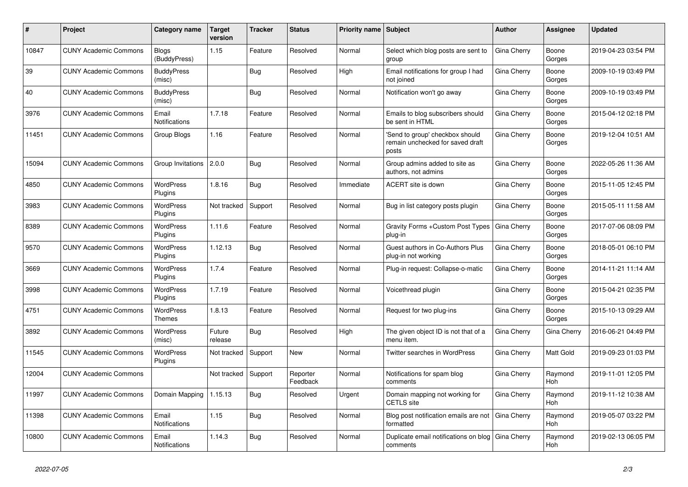| #     | Project                      | <b>Category name</b>          | <b>Target</b><br>version | <b>Tracker</b> | <b>Status</b>        | <b>Priority name   Subject</b> |                                                                              | <b>Author</b> | Assignee              | <b>Updated</b>      |
|-------|------------------------------|-------------------------------|--------------------------|----------------|----------------------|--------------------------------|------------------------------------------------------------------------------|---------------|-----------------------|---------------------|
| 10847 | <b>CUNY Academic Commons</b> | <b>Blogs</b><br>(BuddyPress)  | 1.15                     | Feature        | Resolved             | Normal                         | Select which blog posts are sent to<br>group                                 | Gina Cherry   | Boone<br>Gorges       | 2019-04-23 03:54 PM |
| 39    | <b>CUNY Academic Commons</b> | <b>BuddyPress</b><br>(misc)   |                          | Bug            | Resolved             | High                           | Email notifications for group I had<br>not joined                            | Gina Cherry   | Boone<br>Gorges       | 2009-10-19 03:49 PM |
| 40    | <b>CUNY Academic Commons</b> | <b>BuddyPress</b><br>(misc)   |                          | Bug            | Resolved             | Normal                         | Notification won't go away                                                   | Gina Cherry   | Boone<br>Gorges       | 2009-10-19 03:49 PM |
| 3976  | <b>CUNY Academic Commons</b> | Email<br>Notifications        | 1.7.18                   | Feature        | Resolved             | Normal                         | Emails to blog subscribers should<br>be sent in HTML                         | Gina Cherry   | Boone<br>Gorges       | 2015-04-12 02:18 PM |
| 11451 | <b>CUNY Academic Commons</b> | Group Blogs                   | 1.16                     | Feature        | Resolved             | Normal                         | 'Send to group' checkbox should<br>remain unchecked for saved draft<br>posts | Gina Cherry   | Boone<br>Gorges       | 2019-12-04 10:51 AM |
| 15094 | <b>CUNY Academic Commons</b> | Group Invitations   2.0.0     |                          | Bug            | Resolved             | Normal                         | Group admins added to site as<br>authors, not admins                         | Gina Cherry   | Boone<br>Gorges       | 2022-05-26 11:36 AM |
| 4850  | <b>CUNY Academic Commons</b> | <b>WordPress</b><br>Plugins   | 1.8.16                   | Bug            | Resolved             | Immediate                      | ACERT site is down                                                           | Gina Cherry   | Boone<br>Gorges       | 2015-11-05 12:45 PM |
| 3983  | <b>CUNY Academic Commons</b> | <b>WordPress</b><br>Plugins   | Not tracked              | Support        | Resolved             | Normal                         | Bug in list category posts plugin                                            | Gina Cherry   | Boone<br>Gorges       | 2015-05-11 11:58 AM |
| 8389  | <b>CUNY Academic Commons</b> | <b>WordPress</b><br>Plugins   | 1.11.6                   | Feature        | Resolved             | Normal                         | Gravity Forms + Custom Post Types<br>plug-in                                 | Gina Cherry   | Boone<br>Gorges       | 2017-07-06 08:09 PM |
| 9570  | <b>CUNY Academic Commons</b> | <b>WordPress</b><br>Plugins   | 1.12.13                  | Bug            | Resolved             | Normal                         | Guest authors in Co-Authors Plus<br>plug-in not working                      | Gina Cherry   | Boone<br>Gorges       | 2018-05-01 06:10 PM |
| 3669  | <b>CUNY Academic Commons</b> | <b>WordPress</b><br>Plugins   | 1.7.4                    | Feature        | Resolved             | Normal                         | Plug-in request: Collapse-o-matic                                            | Gina Cherry   | Boone<br>Gorges       | 2014-11-21 11:14 AM |
| 3998  | <b>CUNY Academic Commons</b> | WordPress<br>Plugins          | 1.7.19                   | Feature        | Resolved             | Normal                         | Voicethread plugin                                                           | Gina Cherry   | Boone<br>Gorges       | 2015-04-21 02:35 PM |
| 4751  | <b>CUNY Academic Commons</b> | <b>WordPress</b><br>Themes    | 1.8.13                   | Feature        | Resolved             | Normal                         | Request for two plug-ins                                                     | Gina Cherry   | Boone<br>Gorges       | 2015-10-13 09:29 AM |
| 3892  | <b>CUNY Academic Commons</b> | <b>WordPress</b><br>(misc)    | Future<br>release        | <b>Bug</b>     | Resolved             | High                           | The given object ID is not that of a<br>menu item.                           | Gina Cherry   | Gina Cherry           | 2016-06-21 04:49 PM |
| 11545 | <b>CUNY Academic Commons</b> | <b>WordPress</b><br>Plugins   | Not tracked              | Support        | <b>New</b>           | Normal                         | <b>Twitter searches in WordPress</b>                                         | Gina Cherry   | <b>Matt Gold</b>      | 2019-09-23 01:03 PM |
| 12004 | <b>CUNY Academic Commons</b> |                               | Not tracked              | Support        | Reporter<br>Feedback | Normal                         | Notifications for spam blog<br>comments                                      | Gina Cherry   | Raymond<br><b>Hoh</b> | 2019-11-01 12:05 PM |
| 11997 | <b>CUNY Academic Commons</b> | Domain Mapping                | 1.15.13                  | <b>Bug</b>     | Resolved             | Urgent                         | Domain mapping not working for<br><b>CETLS</b> site                          | Gina Cherry   | Raymond<br><b>Hoh</b> | 2019-11-12 10:38 AM |
| 11398 | <b>CUNY Academic Commons</b> | Email<br>Notifications        | 1.15                     | Bug            | Resolved             | Normal                         | Blog post notification emails are not<br>formatted                           | Gina Cherry   | Raymond<br>Hoh        | 2019-05-07 03:22 PM |
| 10800 | <b>CUNY Academic Commons</b> | Email<br><b>Notifications</b> | 1.14.3                   | Bug            | Resolved             | Normal                         | Duplicate email notifications on blog   Gina Cherry<br>comments              |               | Raymond<br>Hoh        | 2019-02-13 06:05 PM |